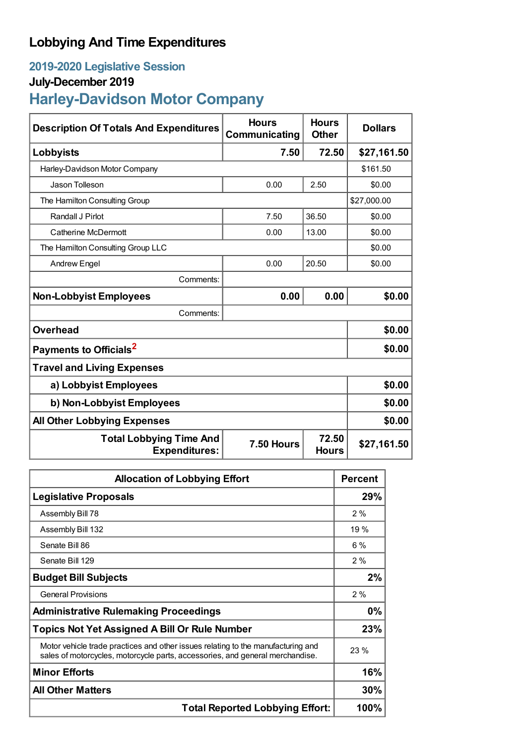## **Lobbying And Time Expenditures**

## **2019-2020 Legislative Session**

## **July-December 2019**

# **Harley-Davidson Motor Company**

| <b>Description Of Totals And Expenditures</b>          | <b>Hours</b><br>Communicating | <b>Hours</b><br><b>Other</b> | <b>Dollars</b> |  |
|--------------------------------------------------------|-------------------------------|------------------------------|----------------|--|
| Lobbyists                                              | 7.50                          | 72.50                        | \$27,161.50    |  |
| Harley-Davidson Motor Company                          |                               |                              | \$161.50       |  |
| Jason Tolleson                                         | 0.00                          | 2.50                         | \$0.00         |  |
| The Hamilton Consulting Group                          |                               |                              | \$27,000.00    |  |
| Randall J Pirlot                                       | 7.50                          | 36.50                        | \$0.00         |  |
| Catherine McDermott                                    | 0.00                          | 13.00                        | \$0.00         |  |
| The Hamilton Consulting Group LLC                      |                               |                              | \$0.00         |  |
| <b>Andrew Engel</b>                                    | 0.00                          | 20.50                        | \$0.00         |  |
| Comments:                                              |                               |                              |                |  |
| <b>Non-Lobbyist Employees</b>                          | 0.00                          | 0.00                         | \$0.00         |  |
| Comments:                                              |                               |                              |                |  |
| <b>Overhead</b>                                        |                               |                              | \$0.00         |  |
| Payments to Officials <sup>2</sup>                     |                               |                              | \$0.00         |  |
| <b>Travel and Living Expenses</b>                      |                               |                              |                |  |
| a) Lobbyist Employees                                  |                               |                              | \$0.00         |  |
| b) Non-Lobbyist Employees                              |                               |                              | \$0.00         |  |
| <b>All Other Lobbying Expenses</b>                     |                               |                              | \$0.00         |  |
| <b>Total Lobbying Time And</b><br><b>Expenditures:</b> | 7.50 Hours                    | 72.50<br><b>Hours</b>        | \$27,161.50    |  |

| <b>Allocation of Lobbying Effort</b>                                                                                                                              |       |
|-------------------------------------------------------------------------------------------------------------------------------------------------------------------|-------|
| <b>Legislative Proposals</b>                                                                                                                                      | 29%   |
| Assembly Bill 78                                                                                                                                                  | 2%    |
| Assembly Bill 132                                                                                                                                                 | 19 %  |
| Senate Bill 86                                                                                                                                                    | $6\%$ |
| Senate Bill 129                                                                                                                                                   | 2%    |
| <b>Budget Bill Subjects</b>                                                                                                                                       | 2%    |
| <b>General Provisions</b>                                                                                                                                         | 2%    |
| <b>Administrative Rulemaking Proceedings</b>                                                                                                                      | 0%    |
| <b>Topics Not Yet Assigned A Bill Or Rule Number</b>                                                                                                              |       |
| Motor vehicle trade practices and other issues relating to the manufacturing and<br>sales of motorcycles, motorcycle parts, accessories, and general merchandise. | 23%   |
| <b>Minor Efforts</b>                                                                                                                                              | 16%   |
| <b>All Other Matters</b>                                                                                                                                          | 30%   |
| <b>Total Reported Lobbying Effort:</b>                                                                                                                            | 100%  |